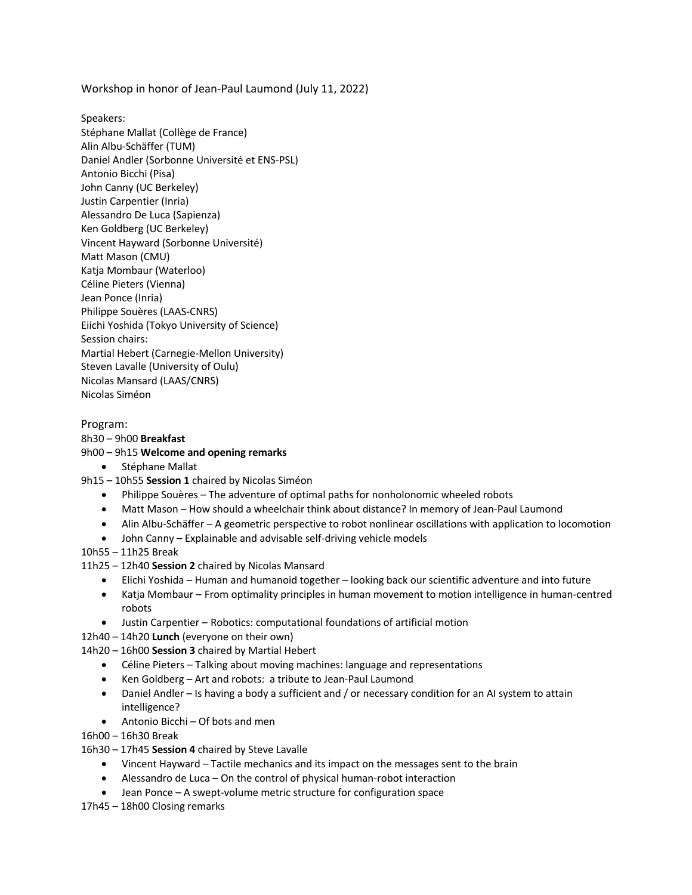Workshop in honor of Jean-Paul Laumond (July 11, 2022)

Speakers: Stéphane Mallat (Collège de France) Alin Albu-Schäffer (TUM) Daniel Andler (Sorbonne Université et ENS-PSL) Antonio Bicchi (Pisa) John Canny (UC Berkeley) Justin Carpentier (Inria) Alessandro De Luca (Sapienza) Ken Goldberg (UC Berkeley) Vincent Hayward (Sorbonne Université) Matt Mason (CMU) Katja Mombaur (Waterloo) Céline Pieters (Vienna) Jean Ponce (Inria) Philippe Souères (LAAS-CNRS) Eiichi Yoshida (Tokyo University of Science) Session chairs: Martial Hebert (Carnegie-Mellon University) Steven Lavalle (University of Oulu) Nicolas Mansard (LAAS/CNRS) Nicolas Siméon

## Program:

## 8h30 – 9h00 **Breakfast**

## 9h00 – 9h15 **Welcome and opening remarks**

- Stéphane Mallat
- 9h15 10h55 **Session 1** chaired by Nicolas Siméon
	- Philippe Souères The adventure of optimal paths for nonholonomic wheeled robots
	- Matt Mason How should a wheelchair think about distance? In memory of Jean-Paul Laumond
	- Alin Albu-Schäffer A geometric perspective to robot nonlinear oscillations with application to locomotion
	- John Canny Explainable and advisable self-driving vehicle models
- 10h55 11h25 Break
- 11h25 12h40 **Session 2** chaired by Nicolas Mansard
	- Elichi Yoshida Human and humanoid together looking back our scientific adventure and into future
	- Katja Mombaur From optimality principles in human movement to motion intelligence in human-centred robots
	- Justin Carpentier Robotics: computational foundations of artificial motion
- 12h40 14h20 **Lunch** (everyone on their own)
- 14h20 16h00 **Session 3** chaired by Martial Hebert
	- Céline Pieters Talking about moving machines: language and representations
	- Ken Goldberg Art and robots: a tribute to Jean-Paul Laumond
	- Daniel Andler Is having a body a sufficient and / or necessary condition for an AI system to attain intelligence?
	- Antonio Bicchi Of bots and men

16h00 – 16h30 Break

- 16h30 17h45 **Session 4** chaired by Steve Lavalle
	- Vincent Hayward Tactile mechanics and its impact on the messages sent to the brain
	- Alessandro de Luca On the control of physical human-robot interaction
	- Jean Ponce A swept-volume metric structure for configuration space
- 17h45 18h00 Closing remarks